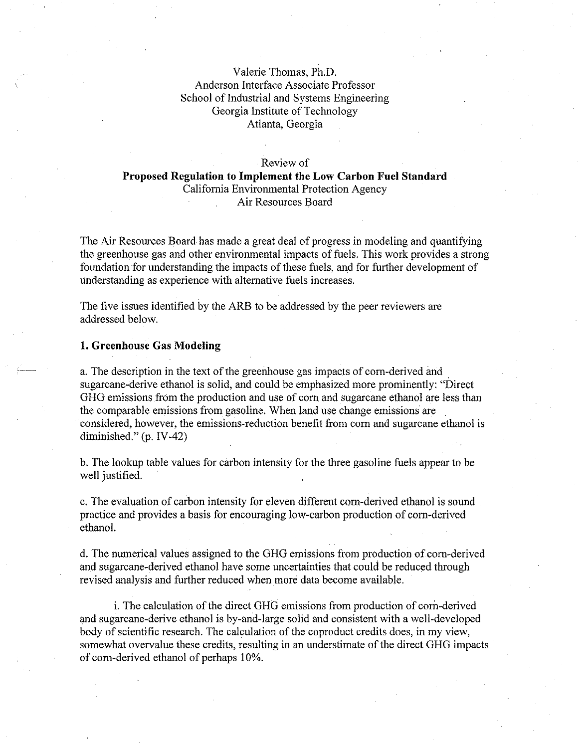## Valerie Thomas, Ph.D. Anderson Interface Associate Professor School of Industrial and Systems Engineering Georgia Institute of Technology Atlanta, Georgia

## Review of

# Proposed Regulation to Implement the Low Carbon Fuel Standard California Environmental Protection Agency Air Resources Board

The Air Resources Board has made a great deal of progress in modeling and quantifying the greenhouse gas and other environmental impacts of fuels. This work provides a strong foundation for understanding the impacts of these fuels, and for further development of understanding as experience with alternative fuels increases.

The five issues identified by the ARB to be addressed by the peer reviewers are addressed below.

## 1. Greenhouse Gas Modeling

a. The description in the text of the greenhouse gas impacts of corn-derived and sugarcane-derive ethanol is solid, and could be emphasized more prominently: "Direct GHG emissions from the production and use of corn and sugarcane ethanol are less than the comparable emissions from gasoline. When land use change emissions are considered, however, the emissions-reduction benefit from corn and sugarcane ethanol is diminished." (p. IV-42)

b. The lookup table values for carbon intensity for the three gasoline fuels appear to be well justified.

c. The evaluation of carbon intensity for eleven different corn-derived ethanol is sound practice and provides a basis for encouraging low-carbon production of corn-derived ethanol.

d. The numerical values assigned to the GHG emissions from production of corn-derived and sugarcane-derived ethanol have some uncertainties that could be reduced through revised analysis and further reduced when more data become available.

i. The calculation of the direct GHG emissions from production of corn-derived and sugarcane-derive ethanol is by-and-large solid and consistent with a well-developed body of scientific research. The calculation of the coproduct credits does, in my view, somewhat overvalue these credits, resulting in an understimate of the direct GHG impacts of corn-derived ethanol of perhaps 10%.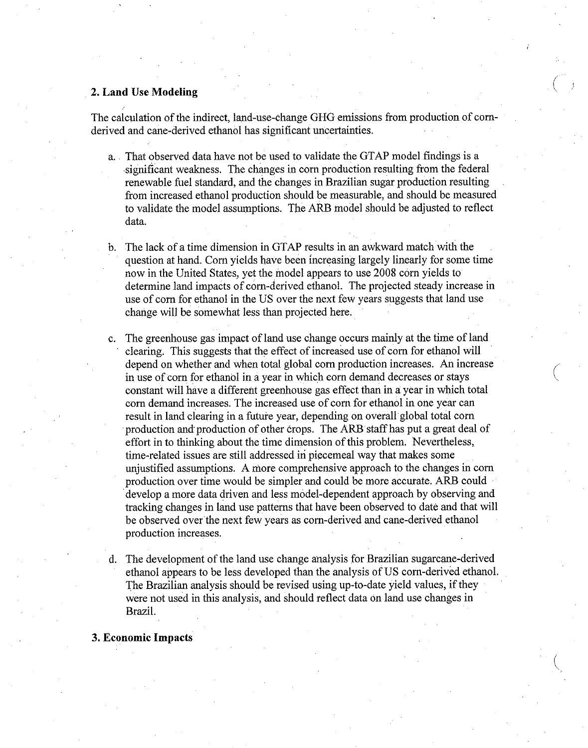## 2. Land Use Modeling

The calculation of the indirect, land-use-change GHG emissions from production of cornderived and cane-derived ethanol has significant uncertainties.

a. . That observed data have not be used to validate the GTAP model findings is a significant weakness. The changes in corn production resulting from the federal renewable fuel standard, and the changes in Brazilian sugar production resulting from increased ethanol production should be measurable, and should be measured to validate the model assumptions. The ARB model should be adjusted to reflect data.

b. The lack of a time dimension in GTAP results in an awkward match with the question at hand. Corn yields have been increasing largely linearly for some time now in the United States, yet the model appears to use 2008 corn yields to determine land impacts of corn-derived ethanol. The projected steady increase in use of corn for ethanol in the US over the next few years suggests that land use change will be somewhat less than projected here.

- c. The greenhouse gas impact of land use change occurs mainly at the time of land clearing. This suggests that the effect of increased use of corn for ethanol will depend on whether and when total global corn production increases. An increase in use of corn for ethanol in a year in which corn demand decreases or stays constant will have a different greenhouse gas effect than in a year in which total corn demand increases. The increased use of corn for ethanol in one year can result in land clearing in a future year, depending on overall global total corn production and production of other crops. The ARB staff has put a great deal of effort in to thinking about the time dimension of this problem. Nevertheless, time-related issues are still addressed in piecemeal way that makes some unjustified assumptions. A more comprehensive approach to the changes in corn production over time would be simpler and could be more accurate. ARB could develop a more data driven and less model-dependent approach by observing and tracking changes in land use patterns that have been observed to date and that will be observed over the next few years as corn-derived and cane-derived ethanol production increases.
- d. The development of the land use change analysis for Brazilian sugarcane-derived ethanol appears to be less developed than the analysis of US corn-derived ethanol. The Brazilian analysis should be revised using up-to-date yield values, if they were not used in this analysis, and should reflect data on land use changes in Brazil.

3. Economic Impacts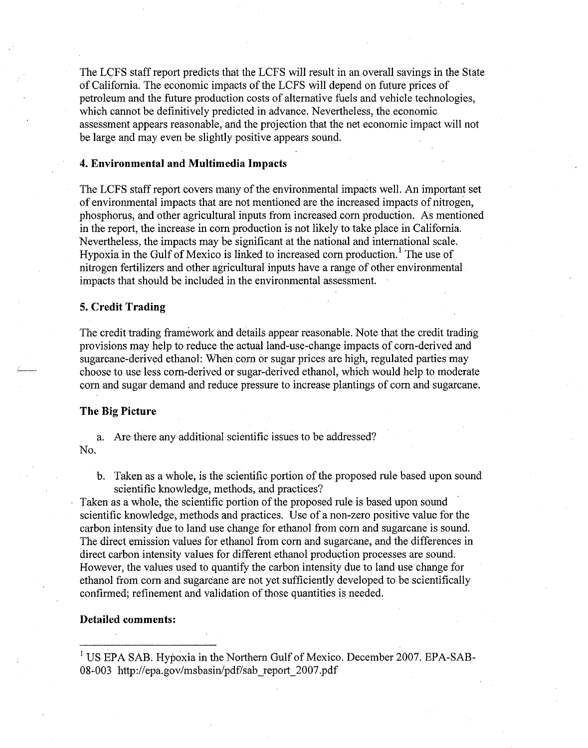The LCFS staff report predicts that the LCFS will result in an overall savings in the State of California. The economic impacts of the LCFS will depend on future prices of petroleum and the future production costs of alternative fuels and vehicle technologies, which cannot be definitively predicted in advance. Nevertheless, the economic assessment appears reasonable, and the projection that the net economic impact will not be large and may even be slightly positive appears sound.

#### 4. Environmental and Multimedia Impacts

The LCFS staff report covers many of the environmental impacts well. An important set of environmental impacts that are not mentioned are the increased impacts of nitrogen, phosphorus, and other agricultural inputs from increased corn production. As mentioned in the report, the increase in corn production is not likely to take place in California. Nevertheless, the impacts may be significant at the national and international scale. Hypoxia in the Gulf of Mexico is linked to increased corn production.' The use of nitrogen fertilizers and other agricultural inputs have a range of other environmental impacts that should be included in the environmental assessment.

#### 5. Credit Trading

The credit trading framework and details appear reasonable. Note that the credit trading provisions may help to reduce the actual land-use-change impacts of corn-derived and sugarcane-derived ethanol: When corn or sugar prices are high, regulated parties may choose to use less corn-derived or sugar-derived ethanol, which would help to moderate corn and sugar demand and reduce pressure to increase plantings of corn and sugarcane.

#### The Big Picture

a. Are there any additional scientific issues to be addressed? No.

b. Taken as a whole, is the scientific portion of the proposed rule based upon sound scientific knowledge, methods, and practices?

Taken as a whole, the scientific portion of the proposed rule is based upon sound scientific knowledge, methods and practices. Use of a non-zero positive value for the carbon intensity due to land use change for ethanol from corn and sugarcane is sound. The direct emission values for ethanol from corn and sugarcane, and the differences in direct carbon intensity values for different ethanol production processes are sound. However, the values used to quantify the carbon intensity due to land use change for ethanol from corn and sugarcane are not yet sufficiently developed to be scientifically confirmed; refinement and validation of those quantities is needed.

#### Detailed comments:

<sup>1</sup> US EPA SAB. Hypoxia in the Northern Gulf of Mexico. December 2007. EPA-SAB-08-003 [http://epa.gov/msbasin/pdf/sab\\_report\\_2007.pdf](http://epa.gov/msbasin/pdf/sab_report_2007.pdf)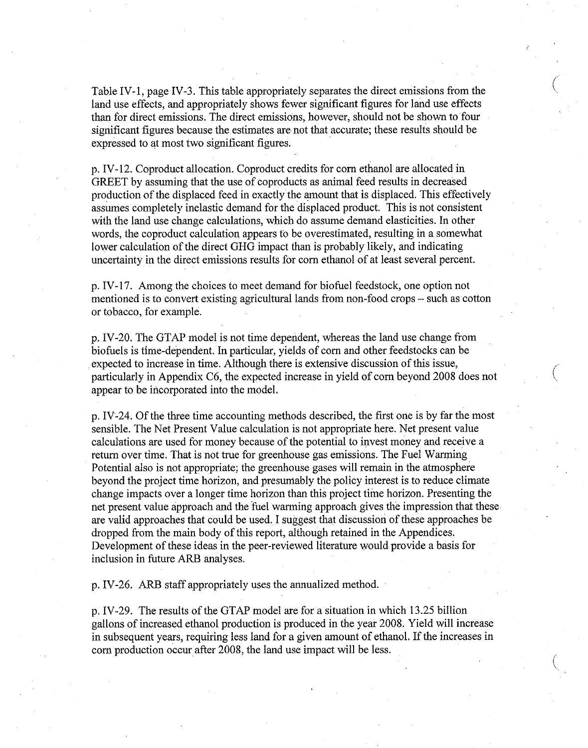Table IV-1, page IV-3. This table appropriately separates the direct emissions from the land use effects, and appropriately shows fewer significant figures for land use effects than for direct emissions. The direct emissions, however, should not be shown to four significant figures because the estimates are not that accurate; these results should be expressed to at most two significant figures.

p. IV-12. Coproduct allocation. Coproduct credits for corn ethanol are allocated in GREET by assuming that the use of coproducts as animal feed results in decreased production of the displaced feed in exactly the amount that is displaced. This effectively assumes completely inelastic demand for the displaced product. This is not consistent with the land use change calculations, which do assume demand elasticities. In other words, the coproduct calculation appears to be overestimated, resulting in a somewhat lower calculation of the direct GHG impact than is probably likely, and indicating uncertainty in the direct emissions results for corn ethanol of at least several percent.

p. IV-17. Among the choices to meet demand for biofuel feedstock, one option not mentioned is to convert existing agricultural lands from non-food crops - such as cotton or tobacco, for example.

p. IV-20. The GTAP model is not time dependent, whereas the land use change from biofuels is time-dependent. In particular, yields of corn and other feedstocks can be expected to increase in time. Although there is extensive discussion of this issue, particularly in Appendix C6, the expected increase in yield of corn beyond 2008 does not appear to be incorporated into the model.

p. IV-24. Of the three time accounting methods described, the first one is by far the most sensible. The Net Present Value calculation is not appropriate here. Net present value calculations are used for money because of the potential to invest money and receive a return over time. That is not true for greenhouse gas emissions. The Fuel Warming Potential also is not appropriate; the greenhouse gases will remain in the atmosphere beyond the project time horizon, and presumably the policy interest is to reduce climate change impacts over a longer time horizon than this project time horizon. Presenting the net present value approach and the fuel warming approach gives the impression that these are valid approaches that could be used. I suggest that discussion of these approaches be dropped from the main body of this report, although retained in the Appendices. Development of these ideas in the peer-reviewed literature would provide a basis for inclusion in future ARB analyses.

p. IV-26. ARB staff appropriately uses the annualized method.

p. IV-29. The results of the GTAP model are for a situation in which 13.25 billion gallons of increased ethanol production is produced in the year 2008. Yield will increase in subsequent years, requiring less land for a given amount of ethanol. If the increases in corn production occur after 2008, the land use impact will be less.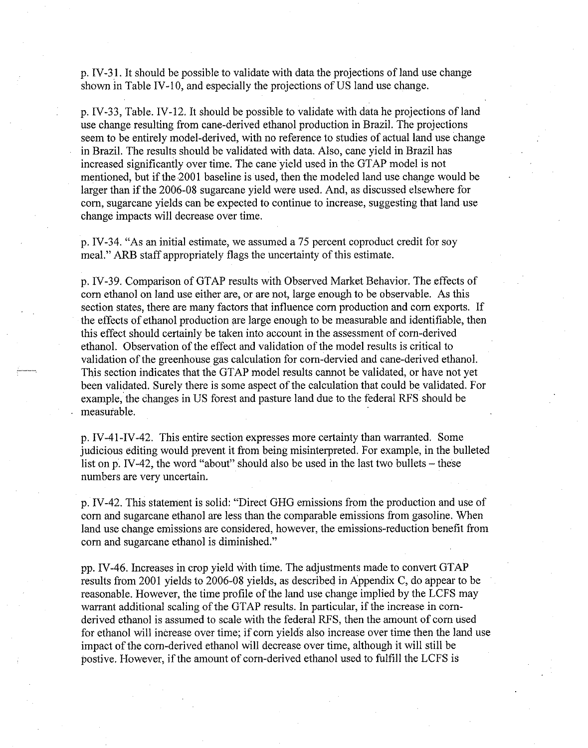p. IV-31. It should be possible to validate with data the projections of land use change shown in Table IV-10, and especially the projections of US land use change.

p. IV-33, Table. IV-12. It should be possible to validate with data he projections of land use change resulting from cane-derived ethanol production in Brazil. The projections seem to be entirely model-derived, with no reference to studies of actual land use change in Brazil. The results should be validated with data. Also, cane yield in Brazil has increased significantly over time. The cane yield used in the GTAP model is not mentioned, but if the 2001 baseline is used, then the modeled land use change would be larger than if the 2006-08 sugarcane yield were used. And, as discussed elsewhere for corn, sugarcane yields can be expected to continue to increase, suggesting that land use change impacts will decrease over time.

p. IV-34. "As an initial estimate, we assumed a 75 percent coproduct credit for soy meal." ARB staff appropriately flags the uncertainty of this estimate.

p. IV-39. Comparison of GTAP results with Observed Market Behavior. The effects of corn ethanol on land use either are, or are not, large enough to be observable. As this section states, there are many factors that influence corn production and corn exports. If the effects of ethanol production are large enough to be measurable and identifiable, then this effect should certainly be taken into account in the assessment of corn-derived ethanol. Observation of the effect and validation of the model results is critical to validation of the greenhouse gas calculation for corn-dervied and cane-derived ethanol. This section indicates that the GTAP model results cannot be validated, or have not yet been validated. Surely there is some aspect of the calculation that could be validated. For example, the changes in US forest and pasture land due to the federal RFS should be measurable.

p. IV-41-IV-42. This entire section expresses more certainty than warranted. Some judicious editing would prevent it from being misinterpreted. For example, in the bulleted list on p. IV-42, the word "about" should also be used in the last two bullets – these numbers are very uncertain.

p. IV-42. This statement is solid: "Direct GHG emissions from the production and use of corn and sugarcane ethanol are less than the comparable emissions from gasoline. When land use change emissions are considered, however, the emissions-reduction benefit from corn and sugarcane ethanol is diminished."

pp. IV-46. Increases in crop yield with time. The adjustments made to convert GTAP results from 2001 yields to 2006-08 yields, as described in Appendix C, do appear to be reasonable. However, the time profile of the land use change implied by the LCFS may warrant additional scaling of the GTAP results. In particular, if the increase in cornderived ethanol is assumed to scale with the federal RFS, then the amount of corn used for ethanol will increase over time; if corn yields also increase over time then the land use impact of the corn-derived ethanol will decrease over time, although it will still be postive. However, if the amount of corn-derived ethanol used to fulfill the LCFS is